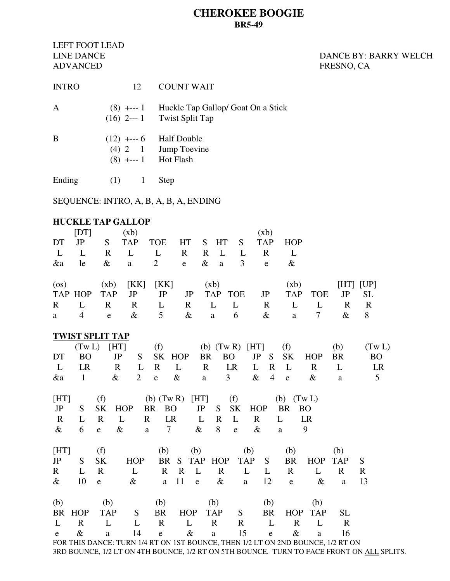## **CHEROKEE BOOGIE BR5-49**

LEFT FOOT LEAD ADVANCED FRESNO, CA

# LINE DANCE **DANCE DANCE DANCE** BY: BARRY WELCH

| $(8)$ +--- 1 Huckle Tap Gallop/ Goat On a Stick<br>Α<br>$(16)$ 2--- 1 Twist Split Tap<br>B<br>$(12)$ +--- 6 Half Double<br>$(4)$ 2 1 Jump Toevine<br>$(8)$ +--- 1 Hot Flash<br>Ending<br>(1) 1<br>Step<br>SEQUENCE: INTRO, A, B, A, B, A, ENDING | INTRO | 12 | <b>COUNT WAIT</b> |  |  |  |  |  |  |  |
|--------------------------------------------------------------------------------------------------------------------------------------------------------------------------------------------------------------------------------------------------|-------|----|-------------------|--|--|--|--|--|--|--|
|                                                                                                                                                                                                                                                  |       |    |                   |  |  |  |  |  |  |  |
|                                                                                                                                                                                                                                                  |       |    |                   |  |  |  |  |  |  |  |
|                                                                                                                                                                                                                                                  |       |    |                   |  |  |  |  |  |  |  |
|                                                                                                                                                                                                                                                  |       |    |                   |  |  |  |  |  |  |  |

**HUCKLE TAP GALLOP**  $[DT]$  (xb)  $(xb)$ DT JP S TAP TOE HT S HT S TAP HOP L L R L L R R L L R L &a le & a 2 e & a 3 e & (os)  $(xb)$   $[KK]$   $[KK]$   $(xb)$   $(xb)$   $[HT]$   $[UP]$ TAP HOP TAP JP JP JP TAP TOE JP TAP TOE JP SL R L R R L R L L R L L R R a 4 e & 5 & a 6 & a 7 & 8 **TWIST SPLIT TAP** (Tw L) [HT] (f) (b)  $(Tw R)$  [HT] (f) (b)  $(Tw L)$ DT BO JP S SK HOP BR BO JP S SK HOP BR BO L LR R L R L R LR L R L R L LR &a 1 & 2 e & a 3 & 4 e & a 5 [HT] (f) (b)  $(Tw R)$  [HT] (f) (b)  $(Tw L)$  JP S SK HOP BR BO JP S SK HOP BR BO R L R L R LR L R L R L LR & 6 e & a 7 & 8 e & a 9  $[HT]$  (f) (b) (b) (b) (b) (b) JP S SK HOP BR S TAP HOP TAP S BR HOP TAP S R L R L R R L R L L R L R R & 10 e & a 11 e & a 12 e & a 13 (b) (b) (b) (b) (b) (b) BR HOP TAP S BR HOP TAP S BR HOP TAP SL L R L L R R L R L R L R R L R R L R R L R R L R R L R R L R R L R R L R R L R R L R R L R R L R R L R R L R R L R R L R R L R R L R R L R R L R R L R R L R R L R R L R R L R R L R R L R R L R R L R R L R R L R R L R R L R e & a 14 e & a 15 e & a 16 FOR THIS DANCE: TURN 1/4 RT ON 1ST BOUNCE, THEN 1/2 LT ON 2ND BOUNCE, 1/2 RT ON 3RD BOUNCE, 1/2 LT ON 4TH BOUNCE, 1/2 RT ON 5TH BOUNCE. TURN TO FACE FRONT ON ALL SPLITS.